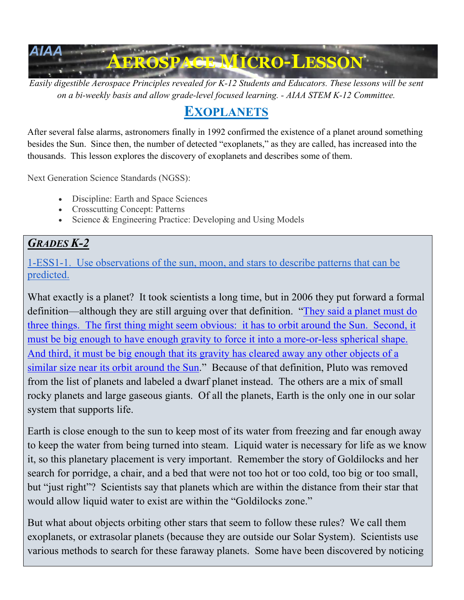

*Easily digestible Aerospace Principles revealed for K-12 Students and Educators. These lessons will be sent on a bi-weekly basis and allow grade-level focused learning. - AIAA STEM K-12 Committee.*

# **EXOPLANETS**

After several false alarms, astronomers finally in 1992 confirmed the existence of a planet around something besides the Sun. Since then, the number of detected "exoplanets," as they are called, has increased into the thousands. This lesson explores the discovery of exoplanets and describes some of them.

Next Generation Science Standards (NGSS):

- Discipline: Earth and Space Sciences
- Crosscutting Concept: Patterns
- Science & Engineering Practice: Developing and Using Models

## *GRADES K-2*

1-ESS1-1. Use observations of the sun, moon, and stars to describe patterns that can be predicted.

What exactly is a planet? It took scientists a long time, but in 2006 they put forward a formal definition—although they are still arguing over that definition. "They said a planet must do three things. The first thing might seem obvious: it has to orbit around the Sun. Second, it must be big enough to have enough gravity to force it into a more-or-less spherical shape. And third, it must be big enough that its gravity has cleared away any other objects of a similar size near its orbit around the Sun." Because of that definition, Pluto was removed from the list of planets and labeled a dwarf planet instead. The others are a mix of small rocky planets and large gaseous giants. Of all the planets, Earth is the only one in our solar system that supports life.

Earth is close enough to the sun to keep most of its water from freezing and far enough away to keep the water from being turned into steam. Liquid water is necessary for life as we know it, so this planetary placement is very important. Remember the story of Goldilocks and her search for porridge, a chair, and a bed that were not too hot or too cold, too big or too small, but "just right"? Scientists say that planets which are within the distance from their star that would allow liquid water to exist are within the "Goldilocks zone."

But what about objects orbiting other stars that seem to follow these rules? We call them exoplanets, or extrasolar planets (because they are outside our Solar System). Scientists use various methods to search for these faraway planets. Some have been discovered by noticing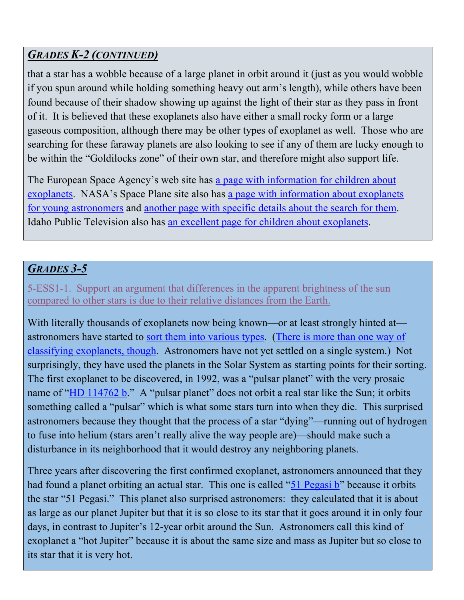## *GRADES K-2 (CONTINUED)*

that a star has a wobble because of a large planet in orbit around it (just as you would wobble if you spun around while holding something heavy out arm's length), while others have been found because of their shadow showing up against the light of their star as they pass in front of it. It is believed that these exoplanets also have either a small rocky form or a large gaseous composition, although there may be other types of exoplanet as well. Those who are searching for these faraway planets are also looking to see if any of them are lucky enough to be within the "Goldilocks zone" of their own star, and therefore might also support life.

The European Space Agency's web site has a page with information for children about exoplanets. NASA's Space Plane site also has a page with information about exoplanets for young astronomers and another page with specific details about the search for them. Idaho Public Television also has an excellent page for children about exoplanets.

## *GRADES 3-5*

5-ESS1-1. Support an argument that differences in the apparent brightness of the sun compared to other stars is due to their relative distances from the Earth.

With literally thousands of exoplanets now being known—or at least strongly hinted at astronomers have started to sort them into various types. (There is more than one way of classifying exoplanets, though. Astronomers have not yet settled on a single system.) Not surprisingly, they have used the planets in the Solar System as starting points for their sorting. The first exoplanet to be discovered, in 1992, was a "pulsar planet" with the very prosaic name of " $HD 114762 b$ ." A "pulsar planet" does not orbit a real star like the Sun; it orbits something called a "pulsar" which is what some stars turn into when they die. This surprised astronomers because they thought that the process of a star "dying"—running out of hydrogen to fuse into helium (stars aren't really alive the way people are)—should make such a disturbance in its neighborhood that it would destroy any neighboring planets.

Three years after discovering the first confirmed exoplanet, astronomers announced that they had found a planet orbiting an actual star. This one is called "51 Pegasi b" because it orbits the star "51 Pegasi." This planet also surprised astronomers: they calculated that it is about as large as our planet Jupiter but that it is so close to its star that it goes around it in only four days, in contrast to Jupiter's 12-year orbit around the Sun. Astronomers call this kind of exoplanet a "hot Jupiter" because it is about the same size and mass as Jupiter but so close to its star that it is very hot.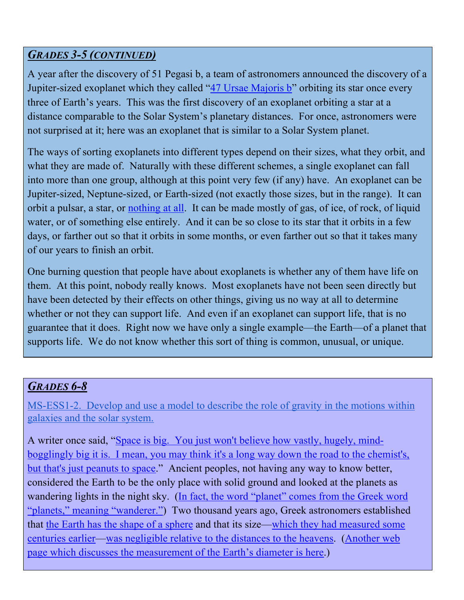#### *GRADES 3-5 (CONTINUED)*

A year after the discovery of 51 Pegasi b, a team of astronomers announced the discovery of a Jupiter-sized exoplanet which they called "47 Ursae Majoris b" orbiting its star once every three of Earth's years. This was the first discovery of an exoplanet orbiting a star at a distance comparable to the Solar System's planetary distances. For once, astronomers were not surprised at it; here was an exoplanet that is similar to a Solar System planet.

The ways of sorting exoplanets into different types depend on their sizes, what they orbit, and what they are made of. Naturally with these different schemes, a single exoplanet can fall into more than one group, although at this point very few (if any) have. An exoplanet can be Jupiter-sized, Neptune-sized, or Earth-sized (not exactly those sizes, but in the range). It can orbit a pulsar, a star, or nothing at all. It can be made mostly of gas, of ice, of rock, of liquid water, or of something else entirely. And it can be so close to its star that it orbits in a few days, or farther out so that it orbits in some months, or even farther out so that it takes many of our years to finish an orbit.

One burning question that people have about exoplanets is whether any of them have life on them. At this point, nobody really knows. Most exoplanets have not been seen directly but have been detected by their effects on other things, giving us no way at all to determine whether or not they can support life. And even if an exoplanet can support life, that is no guarantee that it does. Right now we have only a single example—the Earth—of a planet that supports life. We do not know whether this sort of thing is common, unusual, or unique.

#### *GRADES 6-8*

MS-ESS1-2. Develop and use a model to describe the role of gravity in the motions within galaxies and the solar system.

A writer once said, "Space is big. You just won't believe how vastly, hugely, mindbogglingly big it is. I mean, you may think it's a long way down the road to the chemist's, but that's just peanuts to space." Ancient peoples, not having any way to know better, considered the Earth to be the only place with solid ground and looked at the planets as wandering lights in the night sky. (In fact, the word "planet" comes from the Greek word "planets," meaning "wanderer.") Two thousand years ago, Greek astronomers established that the Earth has the shape of a sphere and that its size—which they had measured some centuries earlier—was negligible relative to the distances to the heavens. (Another web page which discusses the measurement of the Earth's diameter is here.)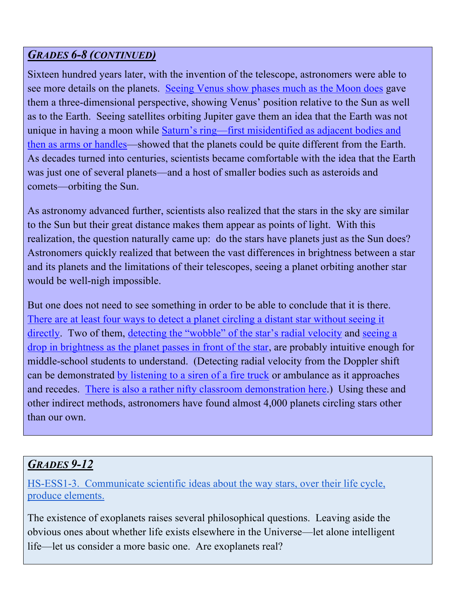## *GRADES 6-8 (CONTINUED)*

Sixteen hundred years later, with the invention of the telescope, astronomers were able to see more details on the planets. Seeing Venus show phases much as the Moon does gave them a three-dimensional perspective, showing Venus' position relative to the Sun as well as to the Earth. Seeing satellites orbiting Jupiter gave them an idea that the Earth was not unique in having a moon while Saturn's ring—first misidentified as adjacent bodies and then as arms or handles—showed that the planets could be quite different from the Earth. As decades turned into centuries, scientists became comfortable with the idea that the Earth was just one of several planets—and a host of smaller bodies such as asteroids and comets—orbiting the Sun.

As astronomy advanced further, scientists also realized that the stars in the sky are similar to the Sun but their great distance makes them appear as points of light. With this realization, the question naturally came up: do the stars have planets just as the Sun does? Astronomers quickly realized that between the vast differences in brightness between a star and its planets and the limitations of their telescopes, seeing a planet orbiting another star would be well-nigh impossible.

But one does not need to see something in order to be able to conclude that it is there. There are at least four ways to detect a planet circling a distant star without seeing it directly. Two of them, detecting the "wobble" of the star's radial velocity and seeing a drop in brightness as the planet passes in front of the star, are probably intuitive enough for middle-school students to understand. (Detecting radial velocity from the Doppler shift can be demonstrated by listening to a siren of a fire truck or ambulance as it approaches and recedes. There is also a rather nifty classroom demonstration here.) Using these and other indirect methods, astronomers have found almost 4,000 planets circling stars other than our own.

## *GRADES 9-12*

HS-ESS1-3. Communicate scientific ideas about the way stars, over their life cycle, produce elements.

The existence of exoplanets raises several philosophical questions. Leaving aside the obvious ones about whether life exists elsewhere in the Universe—let alone intelligent life—let us consider a more basic one. Are exoplanets real?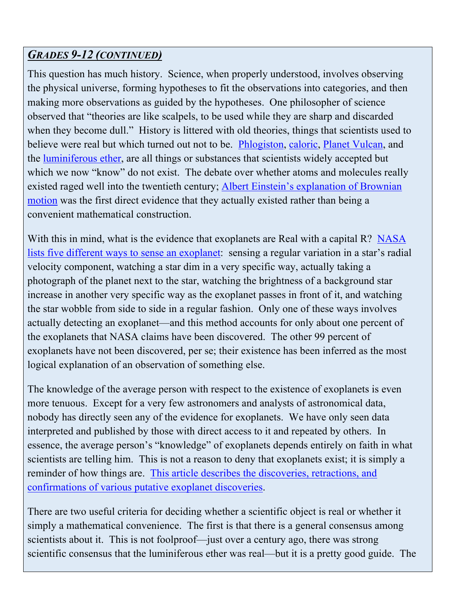## *GRADES 9-12 (CONTINUED)*

This question has much history. Science, when properly understood, involves observing the physical universe, forming hypotheses to fit the observations into categories, and then making more observations as guided by the hypotheses. One philosopher of science observed that "theories are like scalpels, to be used while they are sharp and discarded when they become dull." History is littered with old theories, things that scientists used to believe were real but which turned out not to be. Phlogiston, caloric, Planet Vulcan, and the luminiferous ether, are all things or substances that scientists widely accepted but which we now "know" do not exist. The debate over whether atoms and molecules really existed raged well into the twentieth century; Albert Einstein's explanation of Brownian motion was the first direct evidence that they actually existed rather than being a convenient mathematical construction.

With this in mind, what is the evidence that exoplanets are Real with a capital R? NASA lists five different ways to sense an exoplanet: sensing a regular variation in a star's radial velocity component, watching a star dim in a very specific way, actually taking a photograph of the planet next to the star, watching the brightness of a background star increase in another very specific way as the exoplanet passes in front of it, and watching the star wobble from side to side in a regular fashion. Only one of these ways involves actually detecting an exoplanet—and this method accounts for only about one percent of the exoplanets that NASA claims have been discovered. The other 99 percent of exoplanets have not been discovered, per se; their existence has been inferred as the most logical explanation of an observation of something else.

The knowledge of the average person with respect to the existence of exoplanets is even more tenuous. Except for a very few astronomers and analysts of astronomical data, nobody has directly seen any of the evidence for exoplanets. We have only seen data interpreted and published by those with direct access to it and repeated by others. In essence, the average person's "knowledge" of exoplanets depends entirely on faith in what scientists are telling him. This is not a reason to deny that exoplanets exist; it is simply a reminder of how things are. This article describes the discoveries, retractions, and confirmations of various putative exoplanet discoveries.

There are two useful criteria for deciding whether a scientific object is real or whether it simply a mathematical convenience. The first is that there is a general consensus among scientists about it. This is not foolproof—just over a century ago, there was strong scientific consensus that the luminiferous ether was real—but it is a pretty good guide. The